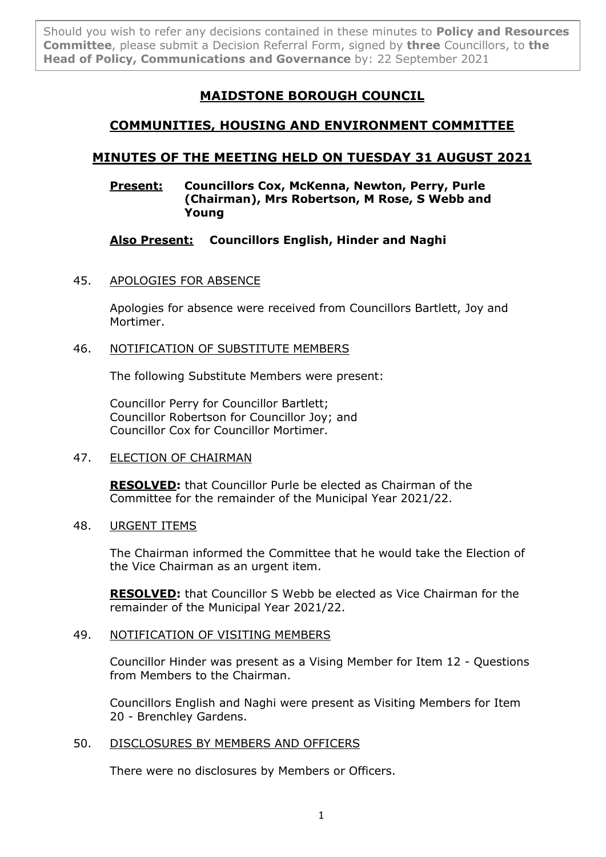Should you wish to refer any decisions contained in these minutes to **Policy and Resources Committee**, please submit a Decision Referral Form, signed by **three** Councillors, to **the Head of Policy, Communications and Governance** by: 22 September 2021

# **MAIDSTONE BOROUGH COUNCIL**

# **COMMUNITIES, HOUSING AND ENVIRONMENT COMMITTEE**

# **MINUTES OF THE MEETING HELD ON TUESDAY 31 AUGUST 2021**

## **Present: Councillors Cox, McKenna, Newton, Perry, Purle (Chairman), Mrs Robertson, M Rose, S Webb and Young**

# **Also Present: Councillors English, Hinder and Naghi**

# 45. APOLOGIES FOR ABSENCE

Apologies for absence were received from Councillors Bartlett, Joy and Mortimer.

# 46. NOTIFICATION OF SUBSTITUTE MEMBERS

The following Substitute Members were present:

Councillor Perry for Councillor Bartlett; Councillor Robertson for Councillor Joy; and Councillor Cox for Councillor Mortimer.

# 47. ELECTION OF CHAIRMAN

**RESOLVED:** that Councillor Purle be elected as Chairman of the Committee for the remainder of the Municipal Year 2021/22.

# 48. URGENT ITEMS

The Chairman informed the Committee that he would take the Election of the Vice Chairman as an urgent item.

**RESOLVED:** that Councillor S Webb be elected as Vice Chairman for the remainder of the Municipal Year 2021/22.

# 49. NOTIFICATION OF VISITING MEMBERS

Councillor Hinder was present as a Vising Member for Item 12 - Questions from Members to the Chairman.

Councillors English and Naghi were present as Visiting Members for Item 20 - Brenchley Gardens.

# 50. DISCLOSURES BY MEMBERS AND OFFICERS

There were no disclosures by Members or Officers.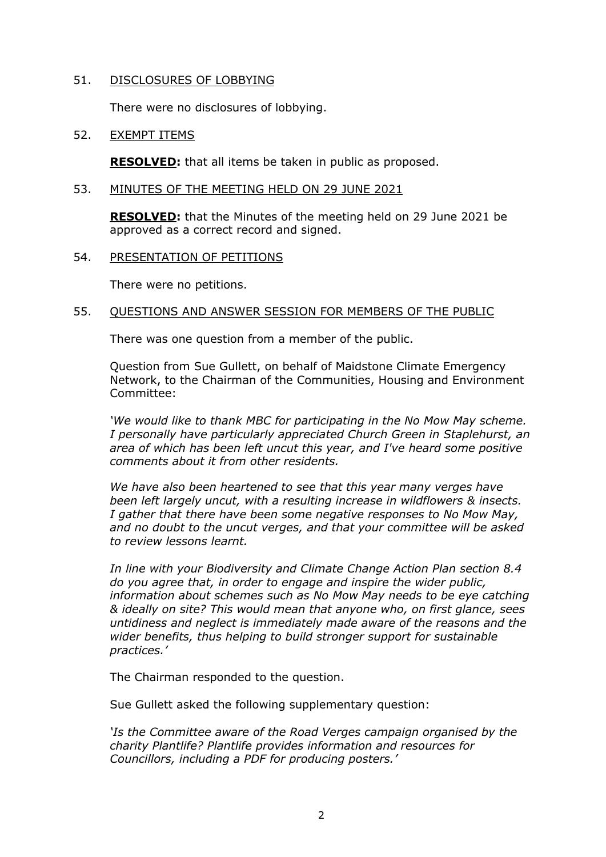#### 51. DISCLOSURES OF LOBBYING

There were no disclosures of lobbying.

#### 52. EXEMPT ITEMS

**RESOLVED:** that all items be taken in public as proposed.

#### 53. MINUTES OF THE MEETING HELD ON 29 JUNE 2021

**RESOLVED:** that the Minutes of the meeting held on 29 June 2021 be approved as a correct record and signed.

#### 54. PRESENTATION OF PETITIONS

There were no petitions.

#### 55. QUESTIONS AND ANSWER SESSION FOR MEMBERS OF THE PUBLIC

There was one question from a member of the public.

Question from Sue Gullett, on behalf of Maidstone Climate Emergency Network, to the Chairman of the Communities, Housing and Environment Committee:

*'We would like to thank MBC for participating in the No Mow May scheme. I personally have particularly appreciated Church Green in Staplehurst, an area of which has been left uncut this year, and I've heard some positive comments about it from other residents.*

*We have also been heartened to see that this year many verges have been left largely uncut, with a resulting increase in wildflowers & insects. I gather that there have been some negative responses to No Mow May, and no doubt to the uncut verges, and that your committee will be asked to review lessons learnt.* 

*In line with your Biodiversity and Climate Change Action Plan section 8.4 do you agree that, in order to engage and inspire the wider public, information about schemes such as No Mow May needs to be eye catching & ideally on site? This would mean that anyone who, on first glance, sees untidiness and neglect is immediately made aware of the reasons and the wider benefits, thus helping to build stronger support for sustainable practices.'*

The Chairman responded to the question.

Sue Gullett asked the following supplementary question:

*'Is the Committee aware of the Road Verges campaign organised by the charity Plantlife? Plantlife provides information and resources for Councillors, including a PDF for producing posters.'*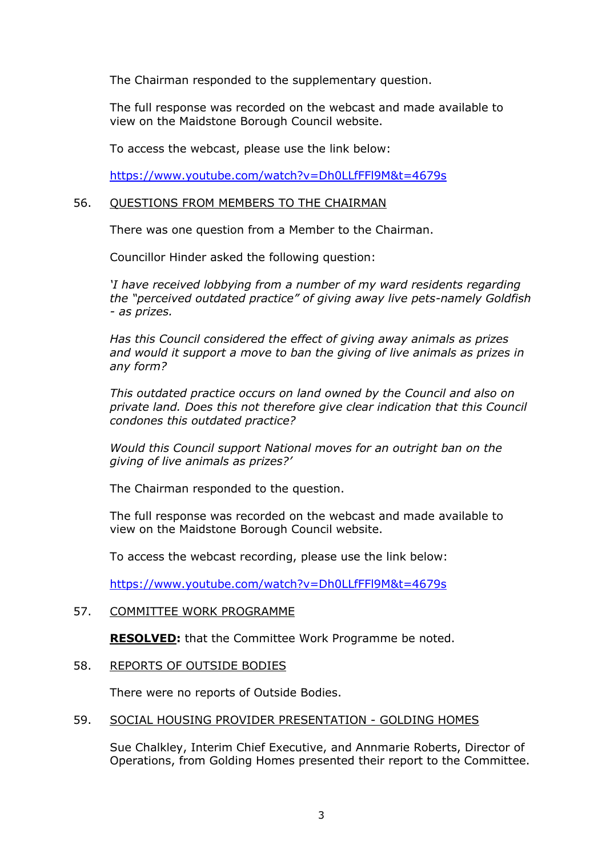The Chairman responded to the supplementary question.

The full response was recorded on the webcast and made available to view on the Maidstone Borough Council website.

To access the webcast, please use the link below:

<https://www.youtube.com/watch?v=Dh0LLfFFl9M&t=4679s>

## 56. QUESTIONS FROM MEMBERS TO THE CHAIRMAN

There was one question from a Member to the Chairman.

Councillor Hinder asked the following question:

*'I have received lobbying from a number of my ward residents regarding the "perceived outdated practice" of giving away live pets-namely Goldfish - as prizes.*

*Has this Council considered the effect of giving away animals as prizes and would it support a move to ban the giving of live animals as prizes in any form?*

*This outdated practice occurs on land owned by the Council and also on private land. Does this not therefore give clear indication that this Council condones this outdated practice?*

*Would this Council support National moves for an outright ban on the giving of live animals as prizes?'*

The Chairman responded to the question.

The full response was recorded on the webcast and made available to view on the Maidstone Borough Council website.

To access the webcast recording, please use the link below:

<https://www.youtube.com/watch?v=Dh0LLfFFl9M&t=4679s>

## 57. COMMITTEE WORK PROGRAMME

**RESOLVED:** that the Committee Work Programme be noted.

## 58. REPORTS OF OUTSIDE BODIES

There were no reports of Outside Bodies.

## 59. SOCIAL HOUSING PROVIDER PRESENTATION - GOLDING HOMES

Sue Chalkley, Interim Chief Executive, and Annmarie Roberts, Director of Operations, from Golding Homes presented their report to the Committee.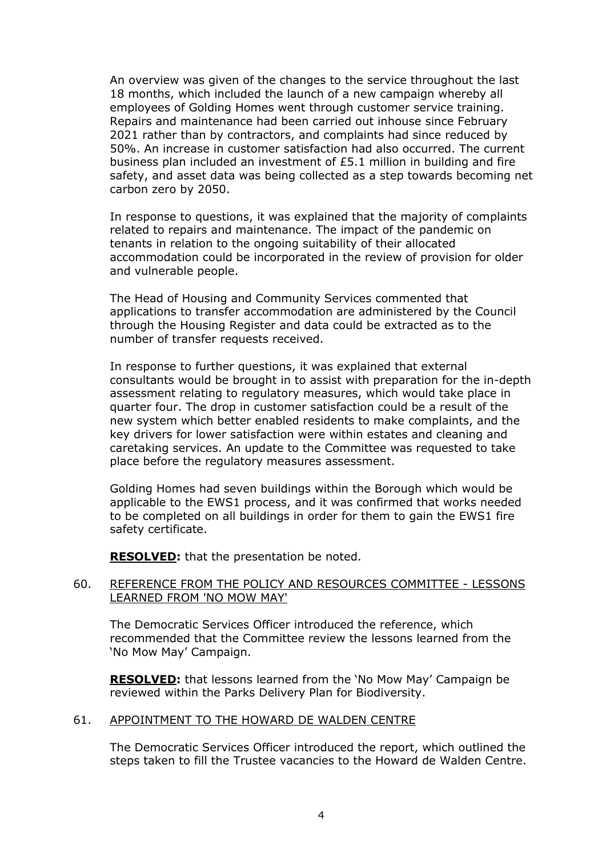An overview was given of the changes to the service throughout the last 18 months, which included the launch of a new campaign whereby all employees of Golding Homes went through customer service training. Repairs and maintenance had been carried out inhouse since February 2021 rather than by contractors, and complaints had since reduced by 50%. An increase in customer satisfaction had also occurred. The current business plan included an investment of £5.1 million in building and fire safety, and asset data was being collected as a step towards becoming net carbon zero by 2050.

In response to questions, it was explained that the majority of complaints related to repairs and maintenance. The impact of the pandemic on tenants in relation to the ongoing suitability of their allocated accommodation could be incorporated in the review of provision for older and vulnerable people.

The Head of Housing and Community Services commented that applications to transfer accommodation are administered by the Council through the Housing Register and data could be extracted as to the number of transfer requests received.

In response to further questions, it was explained that external consultants would be brought in to assist with preparation for the in-depth assessment relating to regulatory measures, which would take place in quarter four. The drop in customer satisfaction could be a result of the new system which better enabled residents to make complaints, and the key drivers for lower satisfaction were within estates and cleaning and caretaking services. An update to the Committee was requested to take place before the regulatory measures assessment.

Golding Homes had seven buildings within the Borough which would be applicable to the EWS1 process, and it was confirmed that works needed to be completed on all buildings in order for them to gain the EWS1 fire safety certificate.

**RESOLVED:** that the presentation be noted.

## 60. REFERENCE FROM THE POLICY AND RESOURCES COMMITTEE - LESSONS LEARNED FROM 'NO MOW MAY'

The Democratic Services Officer introduced the reference, which recommended that the Committee review the lessons learned from the 'No Mow May' Campaign.

**RESOLVED:** that lessons learned from the 'No Mow May' Campaign be reviewed within the Parks Delivery Plan for Biodiversity.

## 61. APPOINTMENT TO THE HOWARD DE WALDEN CENTRE

The Democratic Services Officer introduced the report, which outlined the steps taken to fill the Trustee vacancies to the Howard de Walden Centre.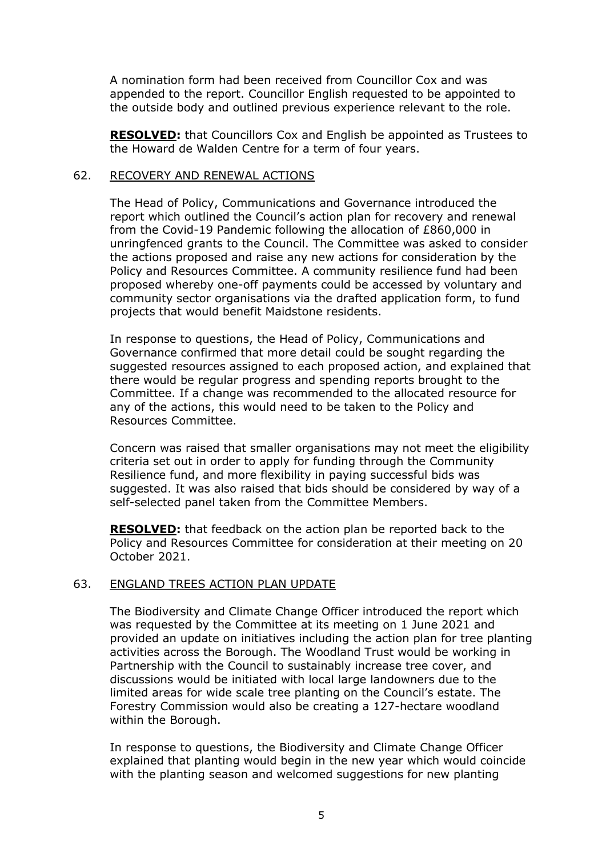A nomination form had been received from Councillor Cox and was appended to the report. Councillor English requested to be appointed to the outside body and outlined previous experience relevant to the role.

**RESOLVED:** that Councillors Cox and English be appointed as Trustees to the Howard de Walden Centre for a term of four years.

#### 62. RECOVERY AND RENEWAL ACTIONS

The Head of Policy, Communications and Governance introduced the report which outlined the Council's action plan for recovery and renewal from the Covid-19 Pandemic following the allocation of £860,000 in unringfenced grants to the Council. The Committee was asked to consider the actions proposed and raise any new actions for consideration by the Policy and Resources Committee. A community resilience fund had been proposed whereby one-off payments could be accessed by voluntary and community sector organisations via the drafted application form, to fund projects that would benefit Maidstone residents.

In response to questions, the Head of Policy, Communications and Governance confirmed that more detail could be sought regarding the suggested resources assigned to each proposed action, and explained that there would be regular progress and spending reports brought to the Committee. If a change was recommended to the allocated resource for any of the actions, this would need to be taken to the Policy and Resources Committee.

Concern was raised that smaller organisations may not meet the eligibility criteria set out in order to apply for funding through the Community Resilience fund, and more flexibility in paying successful bids was suggested. It was also raised that bids should be considered by way of a self-selected panel taken from the Committee Members.

**RESOLVED:** that feedback on the action plan be reported back to the Policy and Resources Committee for consideration at their meeting on 20 October 2021.

## 63. ENGLAND TREES ACTION PLAN UPDATE

The Biodiversity and Climate Change Officer introduced the report which was requested by the Committee at its meeting on 1 June 2021 and provided an update on initiatives including the action plan for tree planting activities across the Borough. The Woodland Trust would be working in Partnership with the Council to sustainably increase tree cover, and discussions would be initiated with local large landowners due to the limited areas for wide scale tree planting on the Council's estate. The Forestry Commission would also be creating a 127-hectare woodland within the Borough.

In response to questions, the Biodiversity and Climate Change Officer explained that planting would begin in the new year which would coincide with the planting season and welcomed suggestions for new planting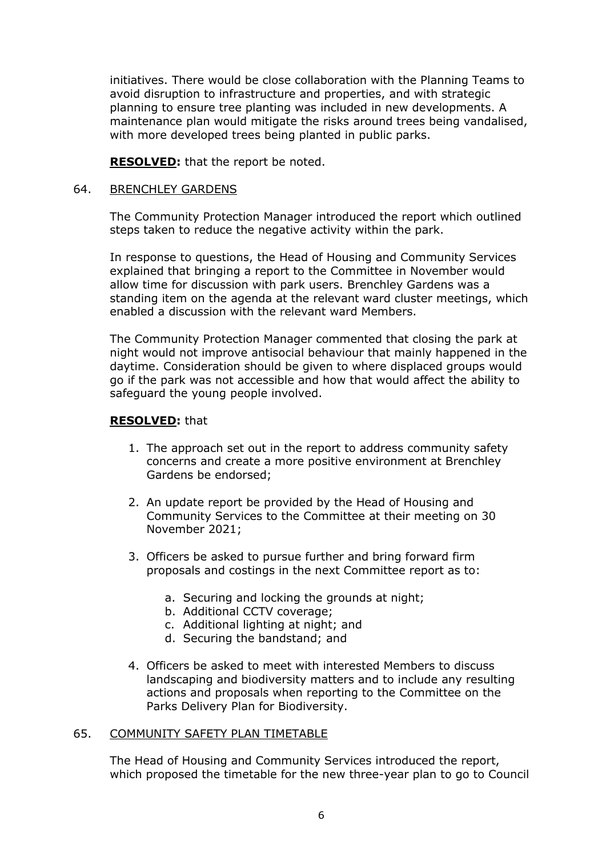initiatives. There would be close collaboration with the Planning Teams to avoid disruption to infrastructure and properties, and with strategic planning to ensure tree planting was included in new developments. A maintenance plan would mitigate the risks around trees being vandalised, with more developed trees being planted in public parks.

**RESOLVED:** that the report be noted.

# 64. BRENCHLEY GARDENS

The Community Protection Manager introduced the report which outlined steps taken to reduce the negative activity within the park.

In response to questions, the Head of Housing and Community Services explained that bringing a report to the Committee in November would allow time for discussion with park users. Brenchley Gardens was a standing item on the agenda at the relevant ward cluster meetings, which enabled a discussion with the relevant ward Members.

The Community Protection Manager commented that closing the park at night would not improve antisocial behaviour that mainly happened in the daytime. Consideration should be given to where displaced groups would go if the park was not accessible and how that would affect the ability to safeguard the young people involved.

# **RESOLVED:** that

- 1. The approach set out in the report to address community safety concerns and create a more positive environment at Brenchley Gardens be endorsed;
- 2. An update report be provided by the Head of Housing and Community Services to the Committee at their meeting on 30 November 2021;
- 3. Officers be asked to pursue further and bring forward firm proposals and costings in the next Committee report as to:
	- a. Securing and locking the grounds at night;
	- b. Additional CCTV coverage;
	- c. Additional lighting at night; and
	- d. Securing the bandstand; and
- 4. Officers be asked to meet with interested Members to discuss landscaping and biodiversity matters and to include any resulting actions and proposals when reporting to the Committee on the Parks Delivery Plan for Biodiversity.

## 65. COMMUNITY SAFETY PLAN TIMETABLE

The Head of Housing and Community Services introduced the report, which proposed the timetable for the new three-year plan to go to Council